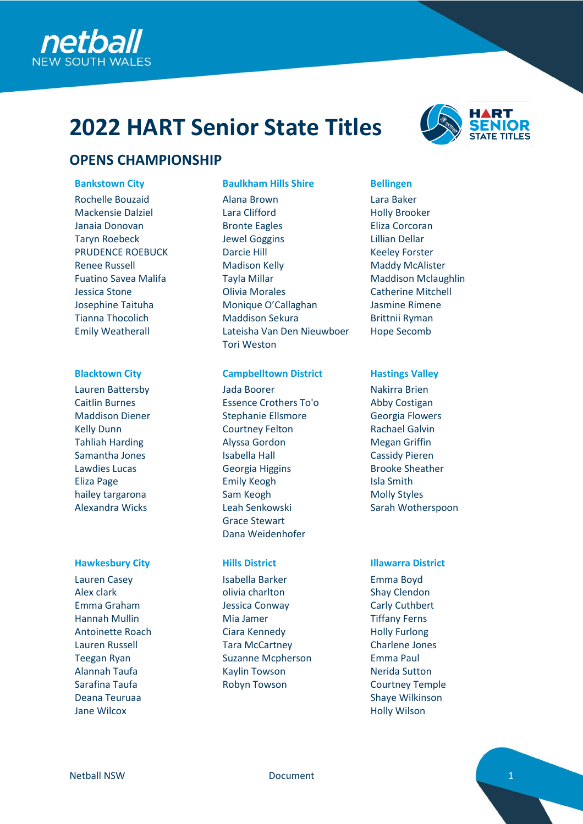

# **2022 HART Senior State Titles**



Rochelle Bouzaid Mackensie Dalziel Janaia Donovan Taryn Roebeck PRUDENCE ROEBUCK Renee Russell Fuatino Savea Malifa Jessica Stone Josephine Taituha Tianna Thocolich Emily Weatherall

Lauren Battersby Caitlin Burnes Maddison Diener Kelly Dunn Tahliah Harding Samantha Jones Lawdies Lucas Eliza Page hailey targarona Alexandra Wicks

Lauren Casey Alex clark Emma Graham Hannah Mullin Antoinette Roach Lauren Russell Teegan Ryan Alannah Taufa Sarafina Taufa Deana Teuruaa Jane Wilcox

### **Bankstown City Baulkham Hills Shire Bellingen**

Alana Brown Lara Clifford Bronte Eagles Jewel Goggins Darcie Hill Madison Kelly Tayla Millar Olivia Morales Monique O'Callaghan Maddison Sekura Lateisha Van Den Nieuwboer Tori Weston

### **Blacktown City Campbelltown District Hastings Valley**

Jada Boorer Essence Crothers To'o Stephanie Ellsmore Courtney Felton Alyssa Gordon Isabella Hall Georgia Higgins Emily Keogh Sam Keogh Leah Senkowski Grace Stewart Dana Weidenhofer

Isabella Barker olivia charlton Jessica Conway Mia Jamer Ciara Kennedy Tara McCartney Suzanne Mcpherson Kaylin Towson Robyn Towson



Lara Baker Holly Brooker Eliza Corcoran Lillian Dellar Keeley Forster Maddy McAlister Maddison Mclaughlin Catherine Mitchell Jasmine Rimene Brittnii Ryman Hope Secomb

Nakirra Brien Abby Costigan Georgia Flowers Rachael Galvin Megan Griffin Cassidy Pieren Brooke Sheather Isla Smith Molly Styles Sarah Wotherspoon

### **Hawkesbury City Hills District Illawarra District**

Emma Boyd Shay Clendon Carly Cuthbert Tiffany Ferns Holly Furlong Charlene Jones Emma Paul Nerida Sutton Courtney Temple Shaye Wilkinson Holly Wilson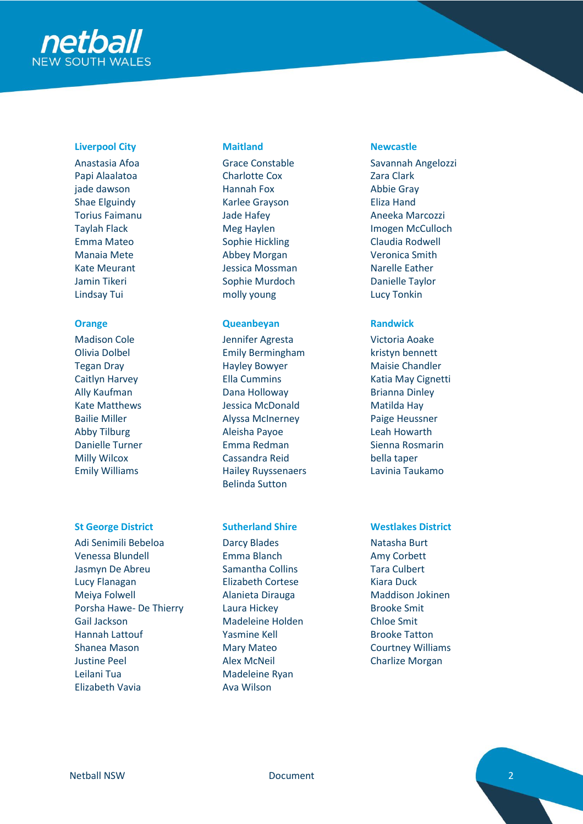

# **Liverpool City Maitland Newcastle**

Anastasia Afoa Papi Alaalatoa jade dawson Shae Elguindy Torius Faimanu Taylah Flack Emma Mateo Manaia Mete Kate Meurant Jamin Tikeri Lindsay Tui

Madison Cole Olivia Dolbel Tegan Dray Caitlyn Harvey Ally Kaufman Kate Matthews Bailie Miller Abby Tilburg Danielle Turner Milly Wilcox Emily Williams

Adi Senimili Bebeloa Venessa Blundell Jasmyn De Abreu Lucy Flanagan Meiya Folwell Porsha Hawe- De Thierry Gail Jackson Hannah Lattouf Shanea Mason Justine Peel Leilani Tua Elizabeth Vavia

Grace Constable Charlotte Cox Hannah Fox Karlee Grayson Jade Hafey Meg Haylen Sophie Hickling Abbey Morgan Jessica Mossman Sophie Murdoch molly young

# **Orange Queanbeyan Randwick**

Jennifer Agresta Emily Bermingham Hayley Bowyer Ella Cummins Dana Holloway Jessica McDonald Alyssa McInerney Aleisha Payoe Emma Redman Cassandra Reid Hailey Ruyssenaers Belinda Sutton

Darcy Blades Emma Blanch Samantha Collins Elizabeth Cortese Alanieta Dirauga Laura Hickey Madeleine Holden Yasmine Kell Mary Mateo Alex McNeil Madeleine Ryan Ava Wilson

Savannah Angelozzi Zara Clark Abbie Gray Eliza Hand Aneeka Marcozzi Imogen McCulloch Claudia Rodwell Veronica Smith Narelle Eather Danielle Taylor Lucy Tonkin

Victoria Aoake kristyn bennett Maisie Chandler Katia May Cignetti Brianna Dinley Matilda Hay Paige Heussner Leah Howarth Sienna Rosmarin bella taper Lavinia Taukamo

# **St George District Sutherland Shire Westlakes District**

Natasha Burt Amy Corbett Tara Culbert Kiara Duck Maddison Jokinen Brooke Smit Chloe Smit Brooke Tatton Courtney Williams Charlize Morgan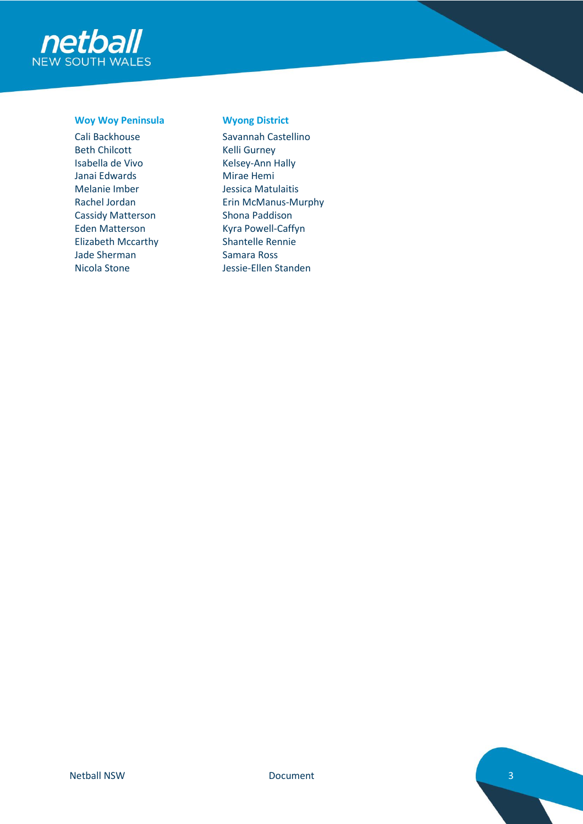

### **Woy Woy Peninsula Wyong District**

Cali Backhouse Beth Chilcott Isabella de Vivo Janai Edwards Melanie Imber Rachel Jordan Cassidy Matterson Eden Matterson Elizabeth Mccarthy Jade Sherman Nicola Stone

Savannah Castellino Kelli Gurney Kelsey-Ann Hally Mirae Hemi Jessica Matulaitis Erin McManus-Murphy Shona Paddison Kyra Powell-Caffyn Shantelle Rennie Samara Ross Jessie-Ellen Standen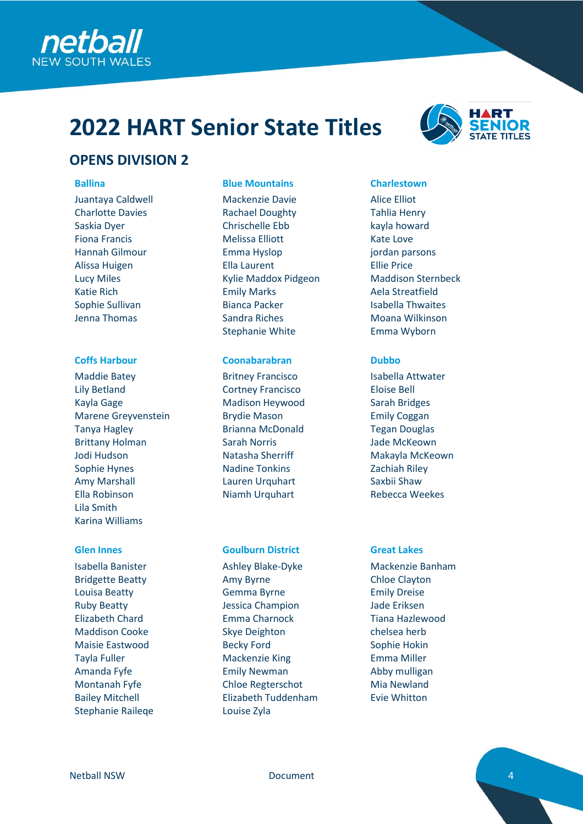

# **2022 HART Senior State Titles**



# **OPENS DIVISION 2**

Juantaya Caldwell Charlotte Davies Saskia Dyer Fiona Francis Hannah Gilmour Alissa Huigen Lucy Miles Katie Rich Sophie Sullivan Jenna Thomas

Maddie Batey Lily Betland Kayla Gage Marene Greyvenstein Tanya Hagley Brittany Holman Jodi Hudson Sophie Hynes Amy Marshall Ella Robinson Lila Smith Karina Williams

Isabella Banister Bridgette Beatty Louisa Beatty Ruby Beatty Elizabeth Chard Maddison Cooke Maisie Eastwood Tayla Fuller Amanda Fyfe Montanah Fyfe Bailey Mitchell Stephanie Raileqe

# **Ballina Blue Mountains Charlestown**

Mackenzie Davie Rachael Doughty Chrischelle Ebb Melissa Elliott Emma Hyslop Ella Laurent Kylie Maddox Pidgeon Emily Marks Bianca Packer Sandra Riches Stephanie White

## **Coffs Harbour Coonabarabran Dubbo**

Britney Francisco Cortney Francisco Madison Heywood Brydie Mason Brianna McDonald Sarah Norris Natasha Sherriff Nadine Tonkins Lauren Urquhart Niamh Urquhart

### **Glen Innes Goulburn District Great Lakes**

Ashley Blake-Dyke Amy Byrne Gemma Byrne Jessica Champion Emma Charnock Skye Deighton Becky Ford Mackenzie King Emily Newman Chloe Regterschot Elizabeth Tuddenham Louise Zyla

Alice Elliot Tahlia Henry kayla howard Kate Love jordan parsons Ellie Price Maddison Sternbeck Aela Streatfield Isabella Thwaites Moana Wilkinson Emma Wyborn

Isabella Attwater Eloise Bell Sarah Bridges Emily Coggan Tegan Douglas Jade McKeown Makayla McKeown Zachiah Riley Saxbii Shaw Rebecca Weekes

Mackenzie Banham Chloe Clayton Emily Dreise Jade Eriksen Tiana Hazlewood chelsea herb Sophie Hokin Emma Miller Abby mulligan Mia Newland Evie Whitton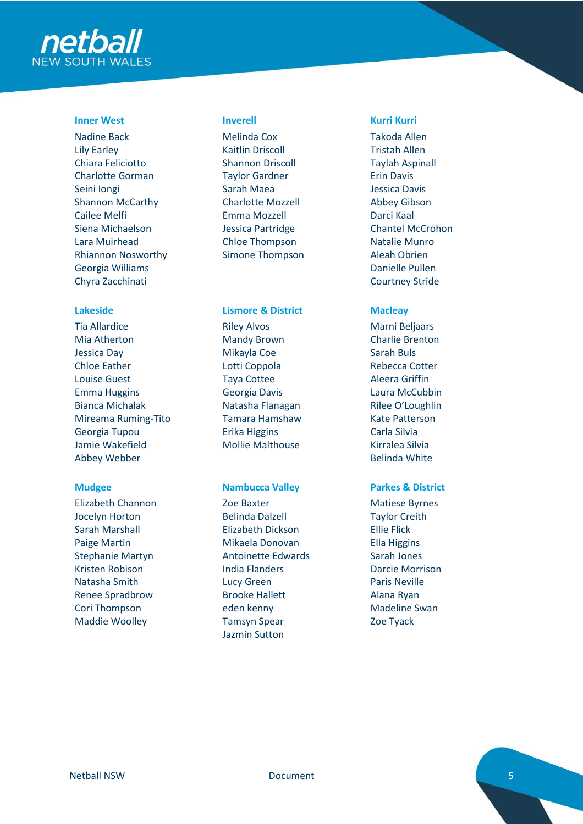

# **Inner West Inverell Kurri Kurri**

Nadine Back Lily Earley Chiara Feliciotto Charlotte Gorman Seini Iongi Shannon McCarthy Cailee Melfi Siena Michaelson Lara Muirhead Rhiannon Nosworthy Georgia Williams Chyra Zacchinati

Tia Allardice Mia Atherton Jessica Day Chloe Eather Louise Guest Emma Huggins Bianca Michalak Mireama Ruming-Tito Georgia Tupou Jamie Wakefield Abbey Webber

Elizabeth Channon Jocelyn Horton Sarah Marshall Paige Martin Stephanie Martyn Kristen Robison Natasha Smith Renee Spradbrow Cori Thompson Maddie Woolley

Melinda Cox Kaitlin Driscoll Shannon Driscoll Taylor Gardner Sarah Maea Charlotte Mozzell Emma Mozzell Jessica Partridge Chloe Thompson Simone Thompson

### **Lakeside Lismore & District Macleay**

Riley Alvos Mandy Brown Mikayla Coe Lotti Coppola Taya Cottee Georgia Davis Natasha Flanagan Tamara Hamshaw Erika Higgins Mollie Malthouse

Zoe Baxter Belinda Dalzell Elizabeth Dickson Mikaela Donovan Antoinette Edwards India Flanders Lucy Green Brooke Hallett eden kenny Tamsyn Spear Jazmin Sutton

Takoda Allen Tristah Allen Taylah Aspinall Erin Davis Jessica Davis Abbey Gibson Darci Kaal Chantel McCrohon Natalie Munro Aleah Obrien Danielle Pullen Courtney Stride

Marni Beljaars Charlie Brenton Sarah Buls Rebecca Cotter Aleera Griffin Laura McCubbin Rilee O'Loughlin Kate Patterson Carla Silvia Kirralea Silvia Belinda White

## **Mudgee Nambucca Valley Parkes & District**

Matiese Byrnes Taylor Creith Ellie Flick Ella Higgins Sarah Jones Darcie Morrison Paris Neville Alana Ryan Madeline Swan Zoe Tyack